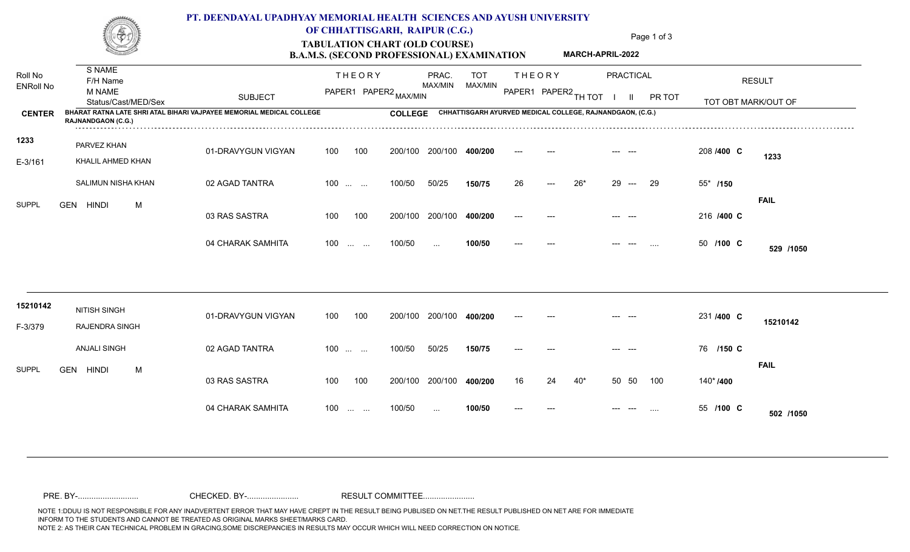

### **PT. DEENDAYAL UPADHYAY MEMORIAL HEALTH SCIENCES AND AYUSH UNIVERSITY**

## TABULATION CHART (OLD COURSE) Page 1 of 3 **OF CHHATTISGARH, RAIPUR (C.G.)**

**MARCH-APRIL-2022**

# **B.A.M.S. (SECOND PROFESSIONAL) EXAMINATION**

| Roll No<br><b>ENRoll No</b> | S NAME<br>F/H Name<br><b>M NAME</b><br>Status/Cast/MED/Sex                                        | <b>SUBJECT</b>     | <b>THEORY</b><br>PAPER1 PAPER2 MAX/MIN                               | PRAC.<br>MAX/MIN                                          | <b>TOT</b><br>MAX/MIN | <b>THEORY</b><br>PAPER1 PAPER2 TH TOT | PRACTICAL<br>PR TOT                       | <b>RESULT</b><br>TOT OBT MARK/OUT OF |
|-----------------------------|---------------------------------------------------------------------------------------------------|--------------------|----------------------------------------------------------------------|-----------------------------------------------------------|-----------------------|---------------------------------------|-------------------------------------------|--------------------------------------|
| <b>CENTER</b>               | BHARAT RATNA LATE SHRI ATAL BIHARI VAJPAYEE MEMORIAL MEDICAL COLLEGE<br><b>RAJNANDGAON (C.G.)</b> | <b>COLLEGE</b>     |                                                                      | CHHATTISGARH AYURVED MEDICAL COLLEGE, RAJNANDGAON, (C.G.) |                       |                                       |                                           |                                      |
| 1233                        | PARVEZ KHAN                                                                                       | 01-DRAVYGUN VIGYAN | 100<br>100                                                           | 200/100<br>200/100                                        | 400/200               |                                       |                                           | 208 /400 C<br>1233                   |
| E-3/161                     | KHALIL AHMED KHAN<br>SALIMUN NISHA KHAN                                                           | 02 AGAD TANTRA     | $100 \dots \dots$                                                    | 100/50<br>50/25                                           | 150/75                | 26<br>---                             | $26*$<br>29<br>29<br>$\sim$ $\sim$ $\sim$ | 55* /150                             |
| <b>SUPPL</b>                | GEN HINDI<br>M                                                                                    | 03 RAS SASTRA      | 100<br>100                                                           | 200/100<br>200/100                                        | 400/200               |                                       |                                           | <b>FAIL</b><br>216 /400 C            |
|                             |                                                                                                   | 04 CHARAK SAMHITA  | 100<br>$\mathcal{L}_{\mathcal{F}}$ , and $\mathcal{L}_{\mathcal{F}}$ | 100/50<br>$\cdots$                                        | 100/50                |                                       | $\cdots$                                  | 50 /100 C<br>529 /1050               |
|                             |                                                                                                   |                    |                                                                      |                                                           |                       |                                       |                                           |                                      |
| 15210142<br>F-3/379         | NITISH SINGH<br>RAJENDRA SINGH                                                                    | 01-DRAVYGUN VIGYAN | 100<br>100                                                           | 200/100<br>200/100                                        | 400/200               |                                       |                                           | 231 /400 C<br>15210142               |
| <b>SUPPL</b>                | <b>ANJALI SINGH</b><br>GEN HINDI<br>M                                                             | 02 AGAD TANTRA     | $100$                                                                | 100/50<br>50/25                                           | 150/75                |                                       |                                           | 76 /150 C                            |
|                             |                                                                                                   | 03 RAS SASTRA      | 100<br>100                                                           | 200/100<br>200/100                                        | 400/200               | 24<br>16                              | $40*$<br>50<br>50<br>100                  | <b>FAIL</b><br>140*/400              |
|                             |                                                                                                   | 04 CHARAK SAMHITA  | 100<br><b>Contract Contract</b>                                      | 100/50<br>$\cdots$                                        | 100/50                |                                       |                                           | 55 /100 C<br>502 /1050               |

NOTE 1:DDUU IS NOT RESPONSIBLE FOR ANY INADVERTENT ERROR THAT MAY HAVE CREPT IN THE RESULT BEING PUBLISED ON NET.THE RESULT PUBLISHED ON NET ARE FOR IMMEDIATE INFORM TO THE STUDENTS AND CANNOT BE TREATED AS ORIGINAL MARKS SHEET/MARKS CARD. NOTE 2: AS THEIR CAN TECHNICAL PROBLEM IN GRACING,SOME DISCREPANCIES IN RESULTS MAY OCCUR WHICH WILL NEED CORRECTION ON NOTICE. PRE. BY-........................... CHECKED. BY-....................... RESULT COMMITTEE.......................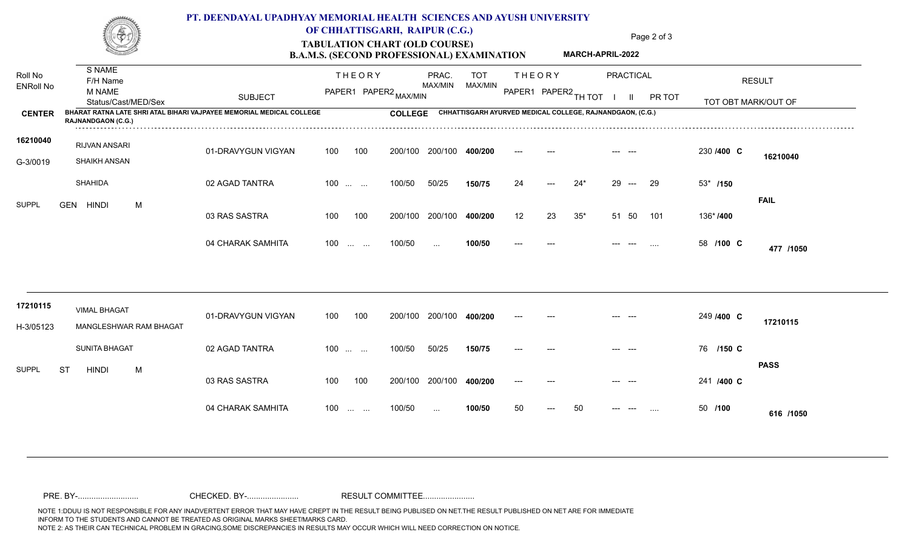

### **PT. DEENDAYAL UPADHYAY MEMORIAL HEALTH SCIENCES AND AYUSH UNIVERSITY**

## TABULATION CHART (OLD COURSE) Page 2 of 3 **OF CHHATTISGARH, RAIPUR (C.G.)**

**MARCH-APRIL-2022**

# **B.A.M.S. (SECOND PROFESSIONAL) EXAMINATION**

| Roll No<br><b>ENRoll No</b> | S NAME<br>F/H Name<br>M NAME<br>Status/Cast/MED/Sex                                               | <b>SUBJECT</b>     | <b>THEORY</b><br>PAPER1 PAPER2 MAX/MIN   | PRAC.<br>MAX/MIN                                          | <b>TOT</b><br>MAX/MIN | <b>THEORY</b><br>PAPER1 PAPER2 TH TOT | PRACTICAL<br>PR TOT<br>H                                    | <b>RESULT</b><br>TOT OBT MARK/OUT OF |
|-----------------------------|---------------------------------------------------------------------------------------------------|--------------------|------------------------------------------|-----------------------------------------------------------|-----------------------|---------------------------------------|-------------------------------------------------------------|--------------------------------------|
| <b>CENTER</b>               | BHARAT RATNA LATE SHRI ATAL BIHARI VAJPAYEE MEMORIAL MEDICAL COLLEGE<br><b>RAJNANDGAON (C.G.)</b> |                    | <b>COLLEGE</b>                           | CHHATTISGARH AYURVED MEDICAL COLLEGE, RAJNANDGAON, (C.G.) |                       |                                       |                                                             |                                      |
| 16210040<br>G-3/0019        | RIJVAN ANSARI<br><b>SHAIKH ANSAN</b>                                                              | 01-DRAVYGUN VIGYAN | 100<br>100                               | 200/100<br>200/100                                        | 400/200               |                                       |                                                             | 230 /400 C<br>16210040               |
| <b>SUPPL</b>                | <b>SHAHIDA</b>                                                                                    | 02 AGAD TANTRA     | $100$                                    | 100/50<br>50/25                                           | 150/75                | 24                                    | $24*$<br>29<br>29<br>$\hspace{0.1em} \ldots \hspace{0.1em}$ | $53*$ /150<br><b>FAIL</b>            |
|                             | M<br><b>GEN HINDI</b>                                                                             | 03 RAS SASTRA      | 100<br>100                               | 200/100<br>200/100                                        | 400/200               | 12<br>23                              | $35*$<br>51 50<br>101                                       | 136*/400                             |
|                             |                                                                                                   | 04 CHARAK SAMHITA  | 100<br><b>Service Control</b>            | 100/50<br>$\cdots$                                        | 100/50                |                                       | $\sim$ $\sim$ $\sim$                                        | 58 /100 C<br>477 /1050               |
| 17210115<br>H-3/05123       | <b>VIMAL BHAGAT</b><br>MANGLESHWAR RAM BHAGAT                                                     | 01-DRAVYGUN VIGYAN | 100<br>100                               | 200/100<br>200/100                                        | 400/200               |                                       |                                                             | 249 /400 C<br>17210115               |
|                             | <b>SUNITA BHAGAT</b>                                                                              | 02 AGAD TANTRA     | $100$                                    | 50/25<br>100/50                                           | 150/75                |                                       |                                                             | 76 /150 C<br><b>PASS</b>             |
| <b>SUPPL</b>                | M<br><b>ST</b><br><b>HINDI</b>                                                                    | 03 RAS SASTRA      | 100<br>100                               | 200/100<br>200/100                                        | 400/200               |                                       |                                                             | 241 /400 C                           |
|                             |                                                                                                   | 04 CHARAK SAMHITA  | 100<br>$\sim 10^{-1}$ and $\sim 10^{-1}$ | 100/50<br>$\cdots$                                        | 100/50                | 50                                    | 50                                                          | 50 /100<br>616 /1050                 |

NOTE 1:DDUU IS NOT RESPONSIBLE FOR ANY INADVERTENT ERROR THAT MAY HAVE CREPT IN THE RESULT BEING PUBLISED ON NET.THE RESULT PUBLISHED ON NET ARE FOR IMMEDIATE INFORM TO THE STUDENTS AND CANNOT BE TREATED AS ORIGINAL MARKS SHEET/MARKS CARD. NOTE 2: AS THEIR CAN TECHNICAL PROBLEM IN GRACING,SOME DISCREPANCIES IN RESULTS MAY OCCUR WHICH WILL NEED CORRECTION ON NOTICE. PRE. BY-........................... CHECKED. BY-....................... RESULT COMMITTEE.......................